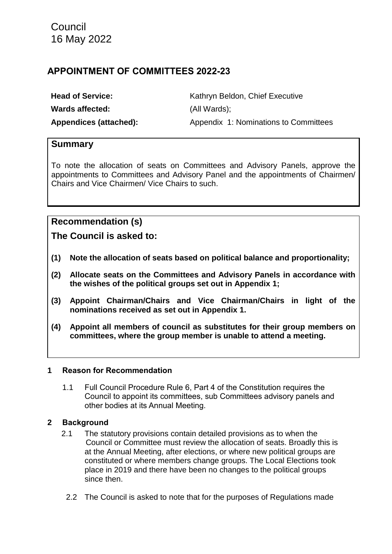## **APPOINTMENT OF COMMITTEES 2022-23**

| <b>Head of Service:</b> | Kathryn Beldon, Chief Executive       |  |  |
|-------------------------|---------------------------------------|--|--|
| Wards affected:         | (All Wards);                          |  |  |
| Appendices (attached):  | Appendix 1: Nominations to Committees |  |  |

## **Summary**

To note the allocation of seats on Committees and Advisory Panels, approve the appointments to Committees and Advisory Panel and the appointments of Chairmen/ Chairs and Vice Chairmen/ Vice Chairs to such.

## **Recommendation (s)**

**The Council is asked to:**

- **(1) Note the allocation of seats based on political balance and proportionality;**
- **(2) Allocate seats on the Committees and Advisory Panels in accordance with the wishes of the political groups set out in Appendix 1;**
- **(3) Appoint Chairman/Chairs and Vice Chairman/Chairs in light of the nominations received as set out in Appendix 1.**
- **(4) Appoint all members of council as substitutes for their group members on committees, where the group member is unable to attend a meeting.**

#### **1 Reason for Recommendation**

1.1 Full Council Procedure Rule 6, Part 4 of the Constitution requires the Council to appoint its committees, sub Committees advisory panels and other bodies at its Annual Meeting.

#### **2 Background**

- 2.1 The statutory provisions contain detailed provisions as to when the Council or Committee must review the allocation of seats. Broadly this is at the Annual Meeting, after elections, or where new political groups are constituted or where members change groups. The Local Elections took place in 2019 and there have been no changes to the political groups since then.
	- 2.2 The Council is asked to note that for the purposes of Regulations made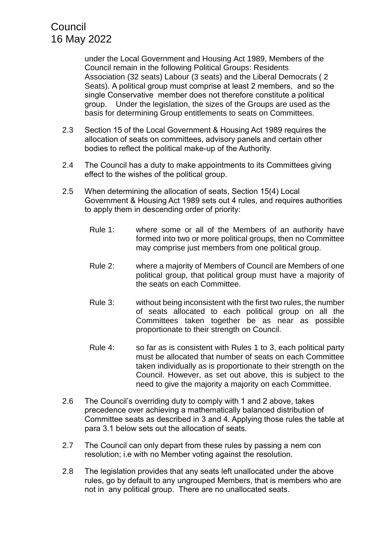under the Local Government and Housing Act 1989, Members of the Council remain in the following Political Groups: Residents Association (32 seats) Labour (3 seats) and the Liberal Democrats ( 2 Seats). A political group must comprise at least 2 members, and so the single Conservative member does not therefore constitute a political group. Under the legislation, the sizes of the Groups are used as the basis for determining Group entitlements to seats on Committees.

- 2.3 Section 15 of the Local Government & Housing Act 1989 requires the allocation of seats on committees, advisory panels and certain other bodies to reflect the political make-up of the Authority.
- 2.4 The Council has a duty to make appointments to its Committees giving effect to the wishes of the political group.
- 2.5 When determining the allocation of seats, Section 15(4) Local Government & Housing Act 1989 sets out 4 rules, and requires authorities to apply them in descending order of priority:
	- Rule 1: where some or all of the Members of an authority have formed into two or more political groups, then no Committee may comprise just members from one political group.
	- Rule 2: where a majority of Members of Council are Members of one political group, that political group must have a majority of the seats on each Committee.
	- Rule 3: without being inconsistent with the first two rules, the number of seats allocated to each political group on all the Committees taken together be as near as possible proportionate to their strength on Council.
	- Rule 4: so far as is consistent with Rules 1 to 3, each political party must be allocated that number of seats on each Committee taken individually as is proportionate to their strength on the Council. However, as set out above, this is subject to the need to give the majority a majority on each Committee.
- 2.6 The Council's overriding duty to comply with 1 and 2 above, takes precedence over achieving a mathematically balanced distribution of Committee seats as described in 3 and 4. Applying those rules the table at para 3.1 below sets out the allocation of seats.
- 2.7 The Council can only depart from these rules by passing a nem con resolution; i.e with no Member voting against the resolution.
- 2.8 The legislation provides that any seats left unallocated under the above rules, go by default to any ungrouped Members, that is members who are not in any political group. There are no unallocated seats.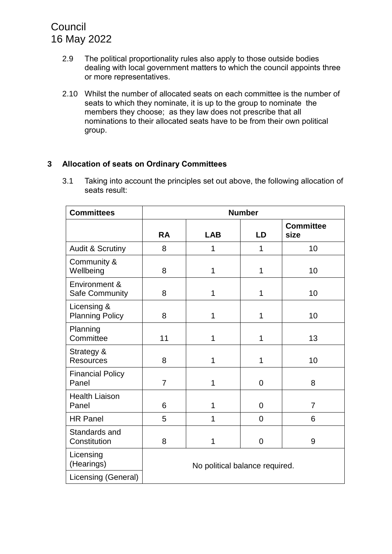- 2.9 The political proportionality rules also apply to those outside bodies dealing with local government matters to which the council appoints three or more representatives.
- 2.10 Whilst the number of allocated seats on each committee is the number of seats to which they nominate, it is up to the group to nominate the members they choose; as they law does not prescribe that all nominations to their allocated seats have to be from their own political group.

## **3 Allocation of seats on Ordinary Committees**

3.1 Taking into account the principles set out above, the following allocation of seats result:

| <b>Committees</b>                     | <b>Number</b>                  |            |                |                          |  |
|---------------------------------------|--------------------------------|------------|----------------|--------------------------|--|
|                                       | <b>RA</b>                      | <b>LAB</b> | LD             | <b>Committee</b><br>size |  |
| <b>Audit &amp; Scrutiny</b>           | 8                              | 1          | 1              | 10                       |  |
| Community &<br>Wellbeing              | 8                              | 1          | 1              | 10                       |  |
| Environment &<br>Safe Community       | 8                              | 1          | 1              | 10                       |  |
| Licensing &<br><b>Planning Policy</b> | 8                              | 1          | 1              | 10                       |  |
| Planning<br>Committee                 | 11                             | 1          | 1              | 13                       |  |
| Strategy &<br><b>Resources</b>        | 8                              | 1          | 1              | 10                       |  |
| <b>Financial Policy</b><br>Panel      | $\overline{7}$                 | 1          | $\overline{0}$ | 8                        |  |
| <b>Health Liaison</b><br>Panel        | 6                              | 1          | $\overline{0}$ | $\overline{7}$           |  |
| <b>HR Panel</b>                       | 5                              | 1          | $\overline{0}$ | 6                        |  |
| Standards and<br>Constitution         | 8                              | 1          | 0              | 9                        |  |
| Licensing<br>(Hearings)               | No political balance required. |            |                |                          |  |
| Licensing (General)                   |                                |            |                |                          |  |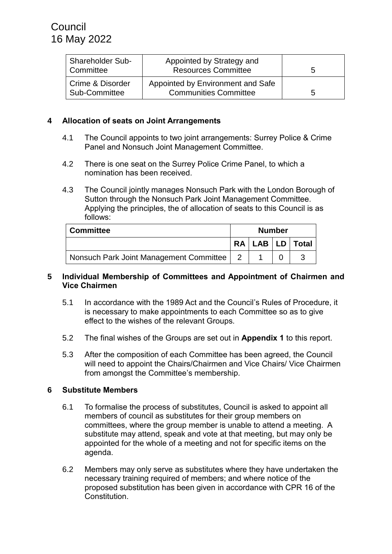| <b>Shareholder Sub-</b><br>Committee | Appointed by Strategy and<br><b>Resources Committee</b>           | b |
|--------------------------------------|-------------------------------------------------------------------|---|
| Crime & Disorder<br>Sub-Committee    | Appointed by Environment and Safe<br><b>Communities Committee</b> | b |

### **4 Allocation of seats on Joint Arrangements**

- 4.1 The Council appoints to two joint arrangements: Surrey Police & Crime Panel and Nonsuch Joint Management Committee.
- 4.2 There is one seat on the Surrey Police Crime Panel, to which a nomination has been received.
- 4.3 The Council jointly manages Nonsuch Park with the London Borough of Sutton through the Nonsuch Park Joint Management Committee. Applying the principles, the of allocation of seats to this Council is as follows:

| <b>Committee</b>                        | <b>Number</b> |  |  |                       |
|-----------------------------------------|---------------|--|--|-----------------------|
|                                         |               |  |  | RA   LAB   LD   Total |
| Nonsuch Park Joint Management Committee |               |  |  |                       |

#### **5 Individual Membership of Committees and Appointment of Chairmen and Vice Chairmen**

- 5.1 In accordance with the 1989 Act and the Council's Rules of Procedure, it is necessary to make appointments to each Committee so as to give effect to the wishes of the relevant Groups.
- 5.2 The final wishes of the Groups are set out in **Appendix 1** to this report.
- 5.3 After the composition of each Committee has been agreed, the Council will need to appoint the Chairs/Chairmen and Vice Chairs/ Vice Chairmen from amongst the Committee's membership.

#### **6 Substitute Members**

- 6.1 To formalise the process of substitutes, Council is asked to appoint all members of council as substitutes for their group members on committees, where the group member is unable to attend a meeting. A substitute may attend, speak and vote at that meeting, but may only be appointed for the whole of a meeting and not for specific items on the agenda.
- 6.2 Members may only serve as substitutes where they have undertaken the necessary training required of members; and where notice of the proposed substitution has been given in accordance with CPR 16 of the Constitution.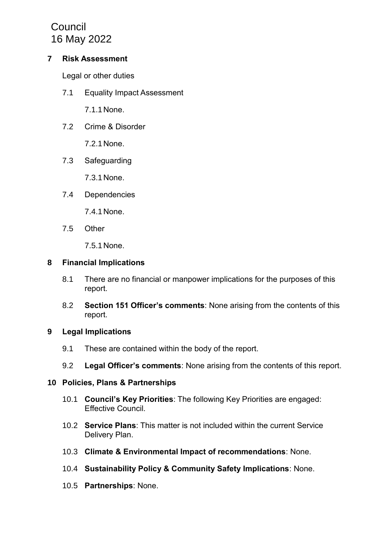#### **7 Risk Assessment**

Legal or other duties

7.1 Equality Impact Assessment

7.1.1 None.

7.2 Crime & Disorder

7.2.1 None.

7.3 Safeguarding

7.3.1 None.

7.4 Dependencies

7.4.1 None.

7.5 Other

7.5.1 None.

#### **8 Financial Implications**

- 8.1 There are no financial or manpower implications for the purposes of this report.
- 8.2 **Section 151 Officer's comments**: None arising from the contents of this report.

## **9 Legal Implications**

- 9.1 These are contained within the body of the report.
- 9.2 **Legal Officer's comments**: None arising from the contents of this report.

#### **10 Policies, Plans & Partnerships**

- 10.1 **Council's Key Priorities**: The following Key Priorities are engaged: Effective Council.
- 10.2 **Service Plans**: This matter is not included within the current Service Delivery Plan.
- 10.3 **Climate & Environmental Impact of recommendations**: None.
- 10.4 **Sustainability Policy & Community Safety Implications**: None.
- 10.5 **Partnerships**: None.